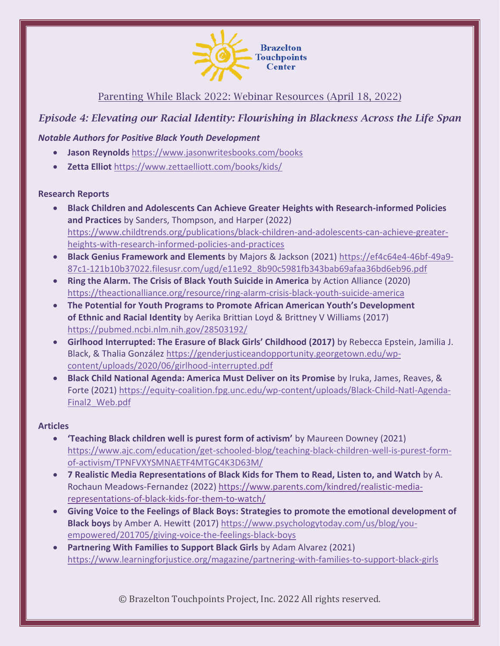

# Parenting While Black 2022: Webinar Resources (April 18, 2022)

# *Episode 4: Elevating our Racial Identity: Flourishing in Blackness Across the Life Span*

## *Notable Authors for Positive Black Youth Development*

- **Jason Reynolds** <https://www.jasonwritesbooks.com/books>
- **Zetta Elliot** <https://www.zettaelliott.com/books/kids/>

#### **Research Reports**

- **Black Children and Adolescents Can Achieve Greater Heights with Research-informed Policies and Practices** by Sanders, Thompson, and Harper (2022) [https://www.childtrends.org/publications/black-children-and-adolescents-can-achieve-greater](https://www.childtrends.org/publications/black-children-and-adolescents-can-achieve-greater-heights-with-research-informed-policies-and-practices)[heights-with-research-informed-policies-and-practices](https://www.childtrends.org/publications/black-children-and-adolescents-can-achieve-greater-heights-with-research-informed-policies-and-practices)
- **Black Genius Framework and Elements** by Majors & Jackson (2021) [https://ef4c64e4-46bf-49a9-](https://ef4c64e4-46bf-49a9-87c1-121b10b37022.filesusr.com/ugd/e11e92_8b90c5981fb343bab69afaa36bd6eb96.pdf) [87c1-121b10b37022.filesusr.com/ugd/e11e92\\_8b90c5981fb343bab69afaa36bd6eb96.pdf](https://ef4c64e4-46bf-49a9-87c1-121b10b37022.filesusr.com/ugd/e11e92_8b90c5981fb343bab69afaa36bd6eb96.pdf)
- **Ring the Alarm. The Crisis of Black Youth Suicide in America** by Action Alliance (2020) <https://theactionalliance.org/resource/ring-alarm-crisis-black-youth-suicide-america>
- **The Potential for Youth Programs to Promote African American Youth's Development of Ethnic and Racial Identity** by Aerika Brittian Loyd & Brittney V Williams (2017) <https://pubmed.ncbi.nlm.nih.gov/28503192/>
- **Girlhood Interrupted: The Erasure of Black Girls' Childhood (2017)** by Rebecca Epstein, Jamilia J. Black, & Thalia González [https://genderjusticeandopportunity.georgetown.edu/wp](https://genderjusticeandopportunity.georgetown.edu/wp-content/uploads/2020/06/girlhood-interrupted.pdf)[content/uploads/2020/06/girlhood-interrupted.pdf](https://genderjusticeandopportunity.georgetown.edu/wp-content/uploads/2020/06/girlhood-interrupted.pdf)
- **Black Child National Agenda: America Must Deliver on its Promise** by Iruka, James, Reaves, & Forte (2021) [https://equity-coalition.fpg.unc.edu/wp-content/uploads/Black-Child-Natl-Agenda-](https://equity-coalition.fpg.unc.edu/wp-content/uploads/Black-Child-Natl-Agenda-Final2_Web.pdf)[Final2\\_Web.pdf](https://equity-coalition.fpg.unc.edu/wp-content/uploads/Black-Child-Natl-Agenda-Final2_Web.pdf)

### **Articles**

- **'Teaching Black children well is purest form of activism'** by Maureen Downey (2021) [https://www.ajc.com/education/get-schooled-blog/teaching-black-children-well-is-purest-form](https://www.ajc.com/education/get-schooled-blog/teaching-black-children-well-is-purest-form-of-activism/TPNFVXYSMNAETF4MTGC4K3D63M/)[of-activism/TPNFVXYSMNAETF4MTGC4K3D63M/](https://www.ajc.com/education/get-schooled-blog/teaching-black-children-well-is-purest-form-of-activism/TPNFVXYSMNAETF4MTGC4K3D63M/)
- **7 Realistic Media Representations of Black Kids for Them to Read, Listen to, and Watch** by A. Rochaun Meadows-Fernandez (2022[\) https://www.parents.com/kindred/realistic-media](https://www.parents.com/kindred/realistic-media-representations-of-black-kids-for-them-to-watch/)[representations-of-black-kids-for-them-to-watch/](https://www.parents.com/kindred/realistic-media-representations-of-black-kids-for-them-to-watch/)
- **Giving Voice to the Feelings of Black Boys: Strategies to promote the emotional development of Black boys** by Amber A. Hewitt (2017[\) https://www.psychologytoday.com/us/blog/you](https://www.psychologytoday.com/us/blog/you-empowered/201705/giving-voice-the-feelings-black-boys)[empowered/201705/giving-voice-the-feelings-black-boys](https://www.psychologytoday.com/us/blog/you-empowered/201705/giving-voice-the-feelings-black-boys)
- **Partnering With Families to Support Black Girls** by Adam Alvarez (2021) <https://www.learningforjustice.org/magazine/partnering-with-families-to-support-black-girls>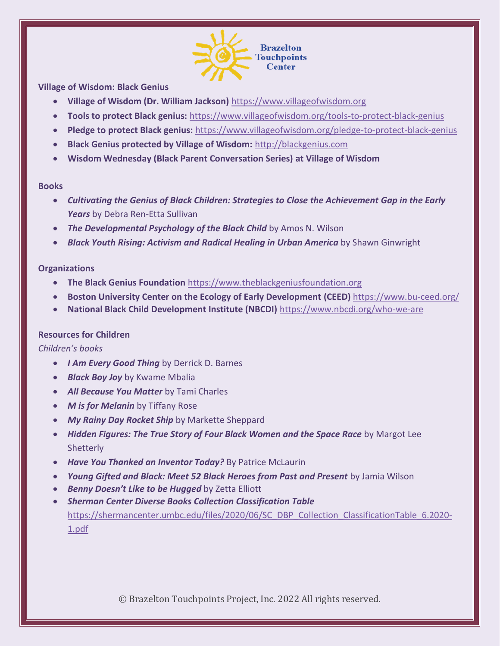

**Village of Wisdom: Black Genius**

- **Village of Wisdom (Dr. William Jackson)** [https://www.villageofwisdom.org](https://www.villageofwisdom.org/)
- **Tools to protect Black genius:** <https://www.villageofwisdom.org/tools-to-protect-black-genius>
- **Pledge to protect Black genius:** <https://www.villageofwisdom.org/pledge-to-protect-black-genius>
- **Black Genius protected by Village of Wisdom:** [http://blackgenius.com](http://blackgenius.com/)
- **Wisdom Wednesday (Black Parent Conversation Series) at Village of Wisdom**

#### **Books**

- *Cultivating the Genius of Black Children: Strategies to Close the Achievement Gap in the Early Years* by Debra Ren-Etta Sullivan
- *The Developmental Psychology of the Black Child* by Amos N. Wilson
- *Black Youth Rising: Activism and Radical Healing in Urban America* by Shawn Ginwright

#### **Organizations**

- **The Black Genius Foundation** [https://www.theblackgeniusfoundation.org](https://www.theblackgeniusfoundation.org/)
- **Boston University Center on the Ecology of Early Development (CEED)** <https://www.bu-ceed.org/>
- **National Black Child Development Institute (NBCDI)** <https://www.nbcdi.org/who-we-are>

#### **Resources for Children**

*Children's books*

- *I Am Every Good Thing* by Derrick D. Barnes
- *Black Boy Joy* by Kwame Mbalia
- *All Because You Matter* by Tami Charles
- *M is for Melanin* by Tiffany Rose
- *My Rainy Day Rocket Ship* by Markette Sheppard
- **Hidden Figures: The True Story of Four Black Women and the Space Race** by Margot Lee **Shetterly**
- *Have You Thanked an Inventor Today?* By Patrice McLaurin
- *Young Gifted and Black: Meet 52 Black Heroes from Past and Present* by Jamia Wilson
- *Benny Doesn't Like to be Hugged* by Zetta Elliott
- *Sherman Center Diverse Books Collection Classification Table*  [https://shermancenter.umbc.edu/files/2020/06/SC\\_DBP\\_Collection\\_ClassificationTable\\_6.2020-](https://shermancenter.umbc.edu/files/2020/06/SC_DBP_Collection_ClassificationTable_6.2020-1.pdf) [1.pdf](https://shermancenter.umbc.edu/files/2020/06/SC_DBP_Collection_ClassificationTable_6.2020-1.pdf)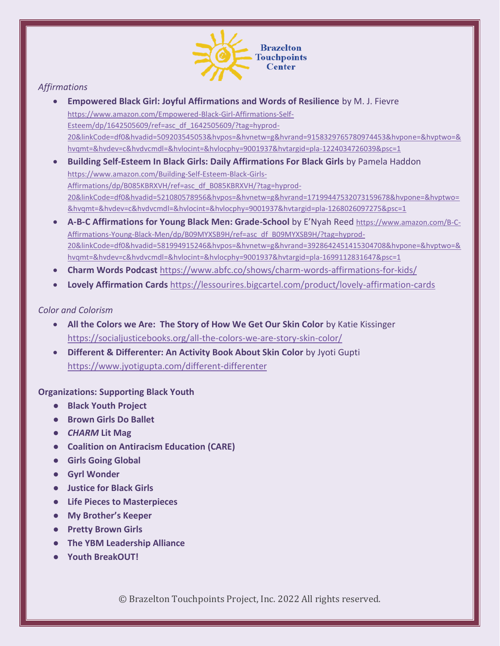

# *Affirmations*

- **Empowered Black Girl: Joyful Affirmations and Words of Resilience** by M. J. Fievre [https://www.amazon.com/Empowered-Black-Girl-Affirmations-Self-](https://www.amazon.com/Empowered-Black-Girl-Affirmations-Self-Esteem/dp/1642505609/ref=asc_df_1642505609/?tag=hyprod-20&linkCode=df0&hvadid=509203545053&hvpos=&hvnetw=g&hvrand=9158329765780974453&hvpone=&hvptwo=&hvqmt=&hvdev=c&hvdvcmdl=&hvlocint=&hvlocphy=9001937&hvtargid=pla-1224034726039&psc=1)[Esteem/dp/1642505609/ref=asc\\_df\\_1642505609/?tag=hyprod-](https://www.amazon.com/Empowered-Black-Girl-Affirmations-Self-Esteem/dp/1642505609/ref=asc_df_1642505609/?tag=hyprod-20&linkCode=df0&hvadid=509203545053&hvpos=&hvnetw=g&hvrand=9158329765780974453&hvpone=&hvptwo=&hvqmt=&hvdev=c&hvdvcmdl=&hvlocint=&hvlocphy=9001937&hvtargid=pla-1224034726039&psc=1)[20&linkCode=df0&hvadid=509203545053&hvpos=&hvnetw=g&hvrand=9158329765780974453&hvpone=&hvptwo=&](https://www.amazon.com/Empowered-Black-Girl-Affirmations-Self-Esteem/dp/1642505609/ref=asc_df_1642505609/?tag=hyprod-20&linkCode=df0&hvadid=509203545053&hvpos=&hvnetw=g&hvrand=9158329765780974453&hvpone=&hvptwo=&hvqmt=&hvdev=c&hvdvcmdl=&hvlocint=&hvlocphy=9001937&hvtargid=pla-1224034726039&psc=1) [hvqmt=&hvdev=c&hvdvcmdl=&hvlocint=&hvlocphy=9001937&hvtargid=pla-1224034726039&psc=1](https://www.amazon.com/Empowered-Black-Girl-Affirmations-Self-Esteem/dp/1642505609/ref=asc_df_1642505609/?tag=hyprod-20&linkCode=df0&hvadid=509203545053&hvpos=&hvnetw=g&hvrand=9158329765780974453&hvpone=&hvptwo=&hvqmt=&hvdev=c&hvdvcmdl=&hvlocint=&hvlocphy=9001937&hvtargid=pla-1224034726039&psc=1)
- **Building Self-Esteem In Black Girls: Daily Affirmations For Black Girls** by Pamela Haddon [https://www.amazon.com/Building-Self-Esteem-Black-Girls-](https://www.amazon.com/Building-Self-Esteem-Black-Girls-Affirmations/dp/B085KBRXVH/ref=asc_df_B085KBRXVH/?tag=hyprod-20&linkCode=df0&hvadid=521080578956&hvpos=&hvnetw=g&hvrand=17199447532073159678&hvpone=&hvptwo=&hvqmt=&hvdev=c&hvdvcmdl=&hvlocint=&hvlocphy=9001937&hvtargid=pla-1268026097275&psc=1)[Affirmations/dp/B085KBRXVH/ref=asc\\_df\\_B085KBRXVH/?tag=hyprod-](https://www.amazon.com/Building-Self-Esteem-Black-Girls-Affirmations/dp/B085KBRXVH/ref=asc_df_B085KBRXVH/?tag=hyprod-20&linkCode=df0&hvadid=521080578956&hvpos=&hvnetw=g&hvrand=17199447532073159678&hvpone=&hvptwo=&hvqmt=&hvdev=c&hvdvcmdl=&hvlocint=&hvlocphy=9001937&hvtargid=pla-1268026097275&psc=1)[20&linkCode=df0&hvadid=521080578956&hvpos=&hvnetw=g&hvrand=17199447532073159678&hvpone=&hvptwo=](https://www.amazon.com/Building-Self-Esteem-Black-Girls-Affirmations/dp/B085KBRXVH/ref=asc_df_B085KBRXVH/?tag=hyprod-20&linkCode=df0&hvadid=521080578956&hvpos=&hvnetw=g&hvrand=17199447532073159678&hvpone=&hvptwo=&hvqmt=&hvdev=c&hvdvcmdl=&hvlocint=&hvlocphy=9001937&hvtargid=pla-1268026097275&psc=1) [&hvqmt=&hvdev=c&hvdvcmdl=&hvlocint=&hvlocphy=9001937&hvtargid=pla-1268026097275&psc=1](https://www.amazon.com/Building-Self-Esteem-Black-Girls-Affirmations/dp/B085KBRXVH/ref=asc_df_B085KBRXVH/?tag=hyprod-20&linkCode=df0&hvadid=521080578956&hvpos=&hvnetw=g&hvrand=17199447532073159678&hvpone=&hvptwo=&hvqmt=&hvdev=c&hvdvcmdl=&hvlocint=&hvlocphy=9001937&hvtargid=pla-1268026097275&psc=1)
- **A-B-C Affirmations for Young Black Men: Grade-School** by E'Nyah Reed [https://www.amazon.com/B-C-](https://www.amazon.com/B-C-Affirmations-Young-Black-Men/dp/B09MYXSB9H/ref=asc_df_B09MYXSB9H/?tag=hyprod-20&linkCode=df0&hvadid=581994915246&hvpos=&hvnetw=g&hvrand=3928642451415304708&hvpone=&hvptwo=&hvqmt=&hvdev=c&hvdvcmdl=&hvlocint=&hvlocphy=9001937&hvtargid=pla-1699112831647&psc=1)[Affirmations-Young-Black-Men/dp/B09MYXSB9H/ref=asc\\_df\\_B09MYXSB9H/?tag=hyprod-](https://www.amazon.com/B-C-Affirmations-Young-Black-Men/dp/B09MYXSB9H/ref=asc_df_B09MYXSB9H/?tag=hyprod-20&linkCode=df0&hvadid=581994915246&hvpos=&hvnetw=g&hvrand=3928642451415304708&hvpone=&hvptwo=&hvqmt=&hvdev=c&hvdvcmdl=&hvlocint=&hvlocphy=9001937&hvtargid=pla-1699112831647&psc=1)[20&linkCode=df0&hvadid=581994915246&hvpos=&hvnetw=g&hvrand=3928642451415304708&hvpone=&hvptwo=&](https://www.amazon.com/B-C-Affirmations-Young-Black-Men/dp/B09MYXSB9H/ref=asc_df_B09MYXSB9H/?tag=hyprod-20&linkCode=df0&hvadid=581994915246&hvpos=&hvnetw=g&hvrand=3928642451415304708&hvpone=&hvptwo=&hvqmt=&hvdev=c&hvdvcmdl=&hvlocint=&hvlocphy=9001937&hvtargid=pla-1699112831647&psc=1) [hvqmt=&hvdev=c&hvdvcmdl=&hvlocint=&hvlocphy=9001937&hvtargid=pla-1699112831647&psc=1](https://www.amazon.com/B-C-Affirmations-Young-Black-Men/dp/B09MYXSB9H/ref=asc_df_B09MYXSB9H/?tag=hyprod-20&linkCode=df0&hvadid=581994915246&hvpos=&hvnetw=g&hvrand=3928642451415304708&hvpone=&hvptwo=&hvqmt=&hvdev=c&hvdvcmdl=&hvlocint=&hvlocphy=9001937&hvtargid=pla-1699112831647&psc=1)
- **Charm Words Podcast** <https://www.abfc.co/shows/charm-words-affirmations-for-kids/>
- **Lovely Affirmation Cards** <https://lessourires.bigcartel.com/product/lovely-affirmation-cards>

### *Color and Colorism*

- **All the Colors we Are: The Story of How We Get Our Skin Color** by Katie Kissinger <https://socialjusticebooks.org/all-the-colors-we-are-story-skin-color/>
- **Different & Differenter: An Activity Book About Skin Color** by Jyoti Gupti <https://www.jyotigupta.com/different-differenter>

**Organizations: Supporting Black Youth**

- **Black Youth Project**
- **Brown Girls Do Ballet**
- *CHARM* **Lit Mag**
- **Coalition on Antiracism Education (CARE)**
- **Girls Going Global**
- **Gyrl Wonder**
- **Justice for Black Girls**
- **Life Pieces to Masterpieces**
- **My Brother's Keeper**
- **Pretty Brown Girls**
- **The YBM Leadership Alliance**
- **Youth BreakOUT!**